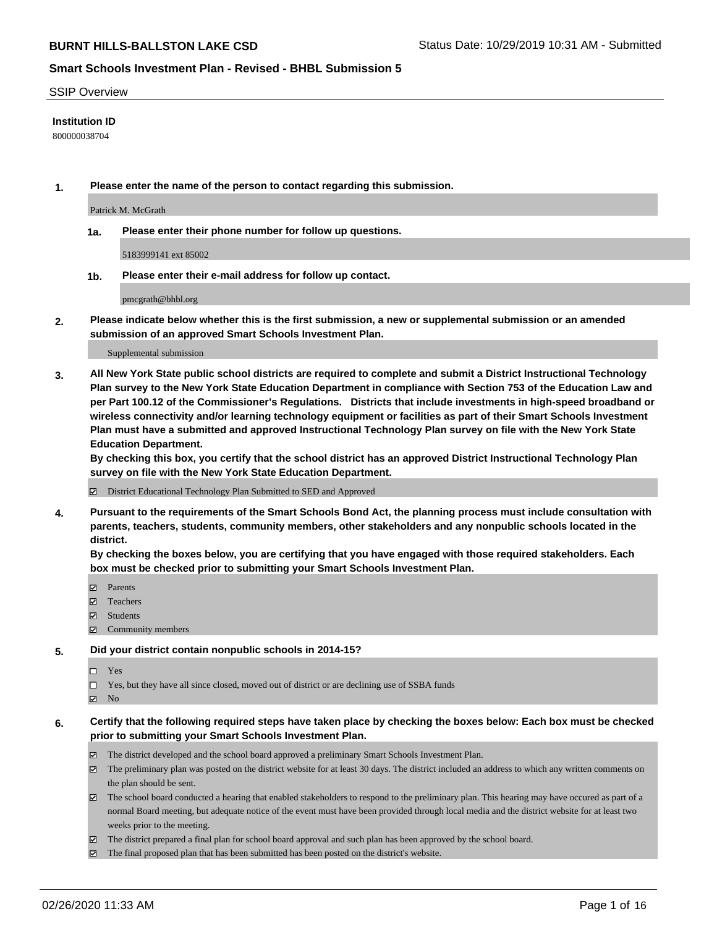#### SSIP Overview

## **Institution ID**

800000038704

**1. Please enter the name of the person to contact regarding this submission.**

Patrick M. McGrath

**1a. Please enter their phone number for follow up questions.**

5183999141 ext 85002

**1b. Please enter their e-mail address for follow up contact.**

pmcgrath@bhbl.org

**2. Please indicate below whether this is the first submission, a new or supplemental submission or an amended submission of an approved Smart Schools Investment Plan.**

#### Supplemental submission

**3. All New York State public school districts are required to complete and submit a District Instructional Technology Plan survey to the New York State Education Department in compliance with Section 753 of the Education Law and per Part 100.12 of the Commissioner's Regulations. Districts that include investments in high-speed broadband or wireless connectivity and/or learning technology equipment or facilities as part of their Smart Schools Investment Plan must have a submitted and approved Instructional Technology Plan survey on file with the New York State Education Department.** 

**By checking this box, you certify that the school district has an approved District Instructional Technology Plan survey on file with the New York State Education Department.**

District Educational Technology Plan Submitted to SED and Approved

**4. Pursuant to the requirements of the Smart Schools Bond Act, the planning process must include consultation with parents, teachers, students, community members, other stakeholders and any nonpublic schools located in the district.** 

**By checking the boxes below, you are certifying that you have engaged with those required stakeholders. Each box must be checked prior to submitting your Smart Schools Investment Plan.**

- **マ** Parents
- Teachers
- Students
- Community members

### **5. Did your district contain nonpublic schools in 2014-15?**

 $\neg$  Yes

Yes, but they have all since closed, moved out of district or are declining use of SSBA funds

**Z** No

## **6. Certify that the following required steps have taken place by checking the boxes below: Each box must be checked prior to submitting your Smart Schools Investment Plan.**

- The district developed and the school board approved a preliminary Smart Schools Investment Plan.
- $\boxtimes$  The preliminary plan was posted on the district website for at least 30 days. The district included an address to which any written comments on the plan should be sent.
- $\boxtimes$  The school board conducted a hearing that enabled stakeholders to respond to the preliminary plan. This hearing may have occured as part of a normal Board meeting, but adequate notice of the event must have been provided through local media and the district website for at least two weeks prior to the meeting.
- The district prepared a final plan for school board approval and such plan has been approved by the school board.
- $\boxtimes$  The final proposed plan that has been submitted has been posted on the district's website.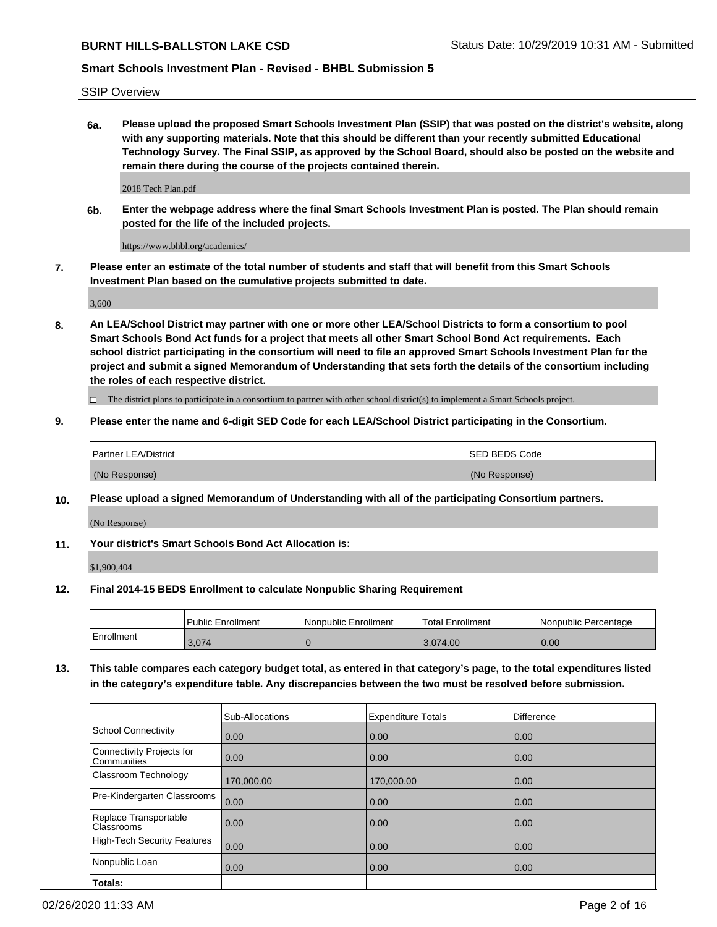SSIP Overview

**6a. Please upload the proposed Smart Schools Investment Plan (SSIP) that was posted on the district's website, along with any supporting materials. Note that this should be different than your recently submitted Educational Technology Survey. The Final SSIP, as approved by the School Board, should also be posted on the website and remain there during the course of the projects contained therein.**

2018 Tech Plan.pdf

**6b. Enter the webpage address where the final Smart Schools Investment Plan is posted. The Plan should remain posted for the life of the included projects.**

https://www.bhbl.org/academics/

**7. Please enter an estimate of the total number of students and staff that will benefit from this Smart Schools Investment Plan based on the cumulative projects submitted to date.**

3,600

**8. An LEA/School District may partner with one or more other LEA/School Districts to form a consortium to pool Smart Schools Bond Act funds for a project that meets all other Smart School Bond Act requirements. Each school district participating in the consortium will need to file an approved Smart Schools Investment Plan for the project and submit a signed Memorandum of Understanding that sets forth the details of the consortium including the roles of each respective district.**

 $\Box$  The district plans to participate in a consortium to partner with other school district(s) to implement a Smart Schools project.

## **9. Please enter the name and 6-digit SED Code for each LEA/School District participating in the Consortium.**

|               | Partner LEA/District | <b>ISED BEDS Code</b> |
|---------------|----------------------|-----------------------|
| (No Response) |                      | (No Response)         |

### **10. Please upload a signed Memorandum of Understanding with all of the participating Consortium partners.**

(No Response)

### **11. Your district's Smart Schools Bond Act Allocation is:**

\$1,900,404

### **12. Final 2014-15 BEDS Enrollment to calculate Nonpublic Sharing Requirement**

|            | Public Enrollment | Nonpublic Enrollment | Total Enrollment | l Nonpublic Percentage |
|------------|-------------------|----------------------|------------------|------------------------|
| Enrollment | 3,074             |                      | 3,074.00         | 0.00                   |

**13. This table compares each category budget total, as entered in that category's page, to the total expenditures listed in the category's expenditure table. Any discrepancies between the two must be resolved before submission.**

|                                          | Sub-Allocations | <b>Expenditure Totals</b> | Difference |
|------------------------------------------|-----------------|---------------------------|------------|
| <b>School Connectivity</b>               | 0.00            | 0.00                      | 0.00       |
| Connectivity Projects for<br>Communities | 0.00            | 0.00                      | 0.00       |
| Classroom Technology                     | 170,000.00      | 170,000.00                | 0.00       |
| Pre-Kindergarten Classrooms              | 0.00            | 0.00                      | 0.00       |
| Replace Transportable<br>Classrooms      | 0.00            | 0.00                      | 0.00       |
| <b>High-Tech Security Features</b>       | 0.00            | 0.00                      | 0.00       |
| Nonpublic Loan                           | 0.00            | 0.00                      | 0.00       |
| Totals:                                  |                 |                           |            |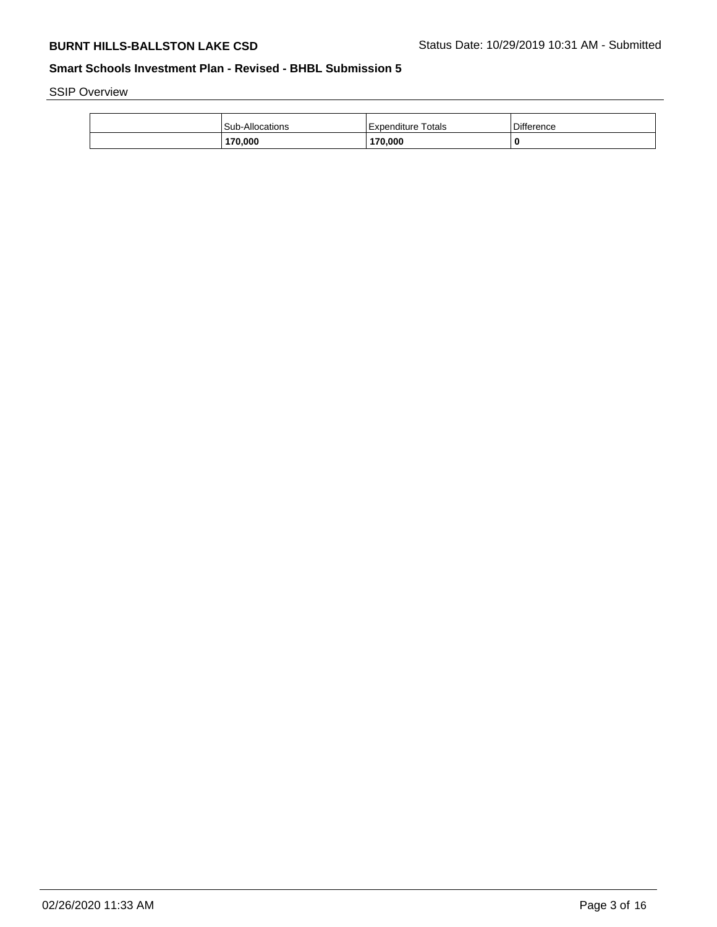SSIP Overview

| Sub-Allocations | <b>Totals</b><br>Expenditure | Difference |
|-----------------|------------------------------|------------|
| 170,000         | 170,000                      | 0          |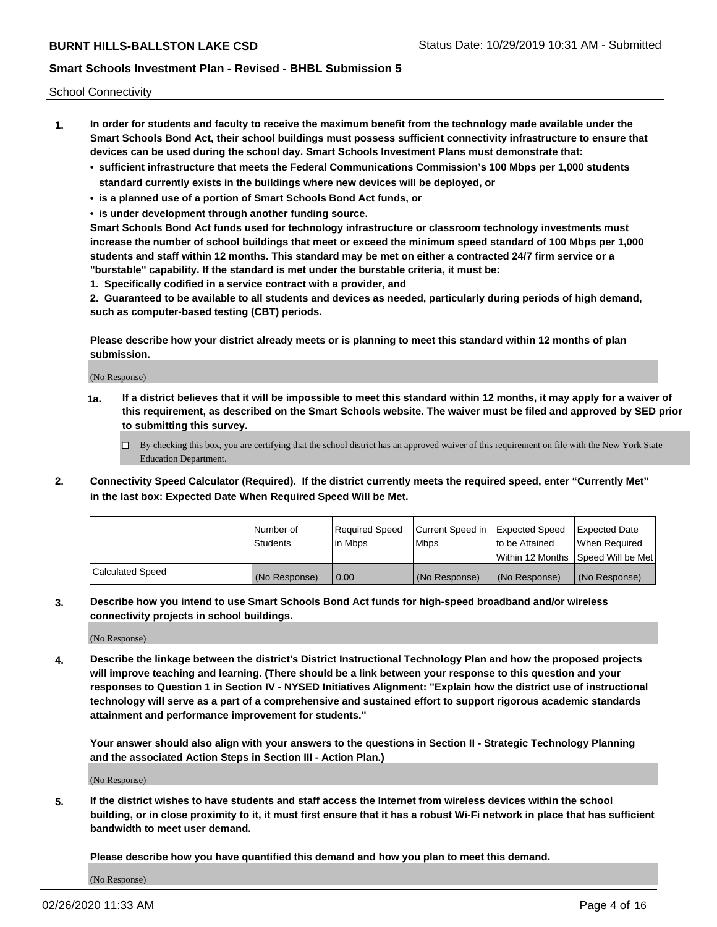School Connectivity

- **1. In order for students and faculty to receive the maximum benefit from the technology made available under the Smart Schools Bond Act, their school buildings must possess sufficient connectivity infrastructure to ensure that devices can be used during the school day. Smart Schools Investment Plans must demonstrate that:**
	- **• sufficient infrastructure that meets the Federal Communications Commission's 100 Mbps per 1,000 students standard currently exists in the buildings where new devices will be deployed, or**
	- **• is a planned use of a portion of Smart Schools Bond Act funds, or**
	- **• is under development through another funding source.**

**Smart Schools Bond Act funds used for technology infrastructure or classroom technology investments must increase the number of school buildings that meet or exceed the minimum speed standard of 100 Mbps per 1,000 students and staff within 12 months. This standard may be met on either a contracted 24/7 firm service or a "burstable" capability. If the standard is met under the burstable criteria, it must be:**

**1. Specifically codified in a service contract with a provider, and**

**2. Guaranteed to be available to all students and devices as needed, particularly during periods of high demand, such as computer-based testing (CBT) periods.**

**Please describe how your district already meets or is planning to meet this standard within 12 months of plan submission.**

(No Response)

**1a. If a district believes that it will be impossible to meet this standard within 12 months, it may apply for a waiver of this requirement, as described on the Smart Schools website. The waiver must be filed and approved by SED prior to submitting this survey.**

 $\Box$  By checking this box, you are certifying that the school district has an approved waiver of this requirement on file with the New York State Education Department.

**2. Connectivity Speed Calculator (Required). If the district currently meets the required speed, enter "Currently Met" in the last box: Expected Date When Required Speed Will be Met.**

|                  | l Number of     | Required Speed | Current Speed in | Expected Speed  | Expected Date                           |
|------------------|-----------------|----------------|------------------|-----------------|-----------------------------------------|
|                  | <b>Students</b> | In Mbps        | l Mbps           | to be Attained  | When Required                           |
|                  |                 |                |                  |                 | l Within 12 Months ISpeed Will be Met l |
| Calculated Speed | (No Response)   | 0.00           | (No Response)    | l (No Response) | l (No Response)                         |

**3. Describe how you intend to use Smart Schools Bond Act funds for high-speed broadband and/or wireless connectivity projects in school buildings.**

(No Response)

**4. Describe the linkage between the district's District Instructional Technology Plan and how the proposed projects will improve teaching and learning. (There should be a link between your response to this question and your responses to Question 1 in Section IV - NYSED Initiatives Alignment: "Explain how the district use of instructional technology will serve as a part of a comprehensive and sustained effort to support rigorous academic standards attainment and performance improvement for students."** 

**Your answer should also align with your answers to the questions in Section II - Strategic Technology Planning and the associated Action Steps in Section III - Action Plan.)**

(No Response)

**5. If the district wishes to have students and staff access the Internet from wireless devices within the school building, or in close proximity to it, it must first ensure that it has a robust Wi-Fi network in place that has sufficient bandwidth to meet user demand.**

**Please describe how you have quantified this demand and how you plan to meet this demand.**

(No Response)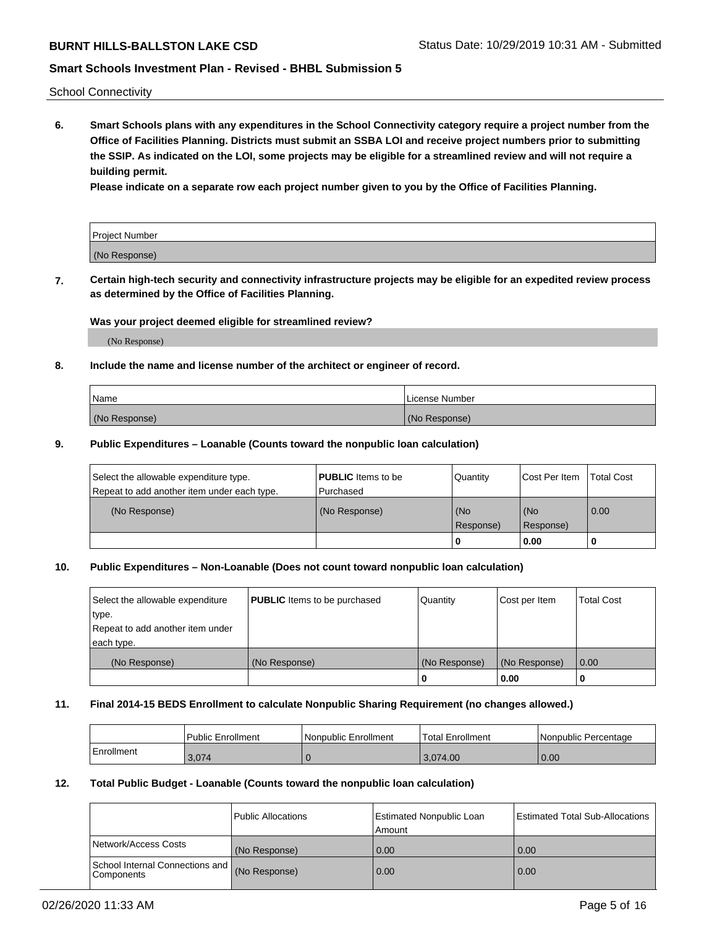School Connectivity

**6. Smart Schools plans with any expenditures in the School Connectivity category require a project number from the Office of Facilities Planning. Districts must submit an SSBA LOI and receive project numbers prior to submitting the SSIP. As indicated on the LOI, some projects may be eligible for a streamlined review and will not require a building permit.**

**Please indicate on a separate row each project number given to you by the Office of Facilities Planning.**

| Project Number |  |
|----------------|--|
| (No Response)  |  |

**7. Certain high-tech security and connectivity infrastructure projects may be eligible for an expedited review process as determined by the Office of Facilities Planning.**

## **Was your project deemed eligible for streamlined review?**

(No Response)

## **8. Include the name and license number of the architect or engineer of record.**

| Name          | License Number |
|---------------|----------------|
| (No Response) | (No Response)  |

## **9. Public Expenditures – Loanable (Counts toward the nonpublic loan calculation)**

| Select the allowable expenditure type.<br>Repeat to add another item under each type. | <b>PUBLIC</b> Items to be<br>l Purchased | Quantity           | Cost Per Item    | <b>Total Cost</b> |
|---------------------------------------------------------------------------------------|------------------------------------------|--------------------|------------------|-------------------|
| (No Response)                                                                         | (No Response)                            | l (No<br>Response) | (No<br>Response) | $\overline{0.00}$ |
|                                                                                       |                                          | 0                  | 0.00             |                   |

# **10. Public Expenditures – Non-Loanable (Does not count toward nonpublic loan calculation)**

| Select the allowable expenditure | <b>PUBLIC</b> Items to be purchased | Quantity      | Cost per Item | <b>Total Cost</b> |
|----------------------------------|-------------------------------------|---------------|---------------|-------------------|
| type.                            |                                     |               |               |                   |
| Repeat to add another item under |                                     |               |               |                   |
| each type.                       |                                     |               |               |                   |
| (No Response)                    | (No Response)                       | (No Response) | (No Response) | 0.00              |
|                                  |                                     |               | 0.00          |                   |

### **11. Final 2014-15 BEDS Enrollment to calculate Nonpublic Sharing Requirement (no changes allowed.)**

|            | Public Enrollment | l Nonpublic Enrollment | <b>Total Enrollment</b> | Nonpublic Percentage |
|------------|-------------------|------------------------|-------------------------|----------------------|
| Enrollment | 3,074             |                        | 3.074.00                | 0.00                 |

### **12. Total Public Budget - Loanable (Counts toward the nonpublic loan calculation)**

|                                                      | Public Allocations | <b>Estimated Nonpublic Loan</b><br>Amount | Estimated Total Sub-Allocations |
|------------------------------------------------------|--------------------|-------------------------------------------|---------------------------------|
| Network/Access Costs                                 | (No Response)      | 0.00                                      | 0.00                            |
| School Internal Connections and<br><b>Components</b> | (No Response)      | 0.00                                      | 0.00                            |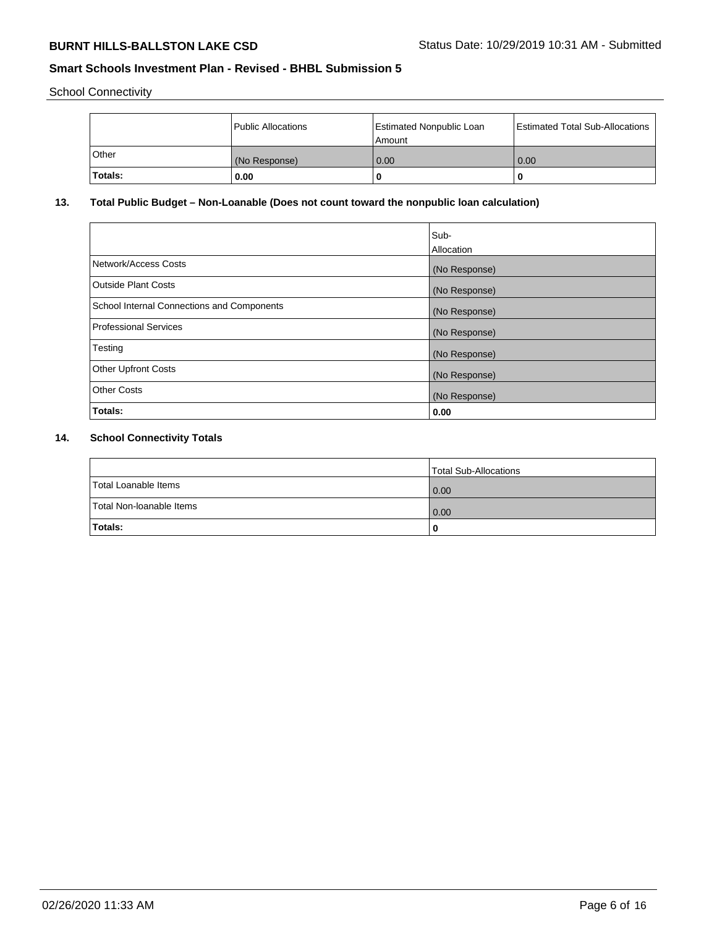School Connectivity

|              | Public Allocations | Estimated Nonpublic Loan<br>l Amount | <b>Estimated Total Sub-Allocations</b> |
|--------------|--------------------|--------------------------------------|----------------------------------------|
| <b>Other</b> | (No Response)      | 0.00                                 | 0.00                                   |
| Totals:      | 0.00               | 0                                    |                                        |

# **13. Total Public Budget – Non-Loanable (Does not count toward the nonpublic loan calculation)**

|                                                   | Sub-<br>Allocation |
|---------------------------------------------------|--------------------|
| Network/Access Costs                              | (No Response)      |
| Outside Plant Costs                               | (No Response)      |
| <b>School Internal Connections and Components</b> | (No Response)      |
| <b>Professional Services</b>                      | (No Response)      |
| Testing                                           | (No Response)      |
| <b>Other Upfront Costs</b>                        | (No Response)      |
| <b>Other Costs</b>                                | (No Response)      |
| Totals:                                           | 0.00               |

# **14. School Connectivity Totals**

|                          | Total Sub-Allocations |
|--------------------------|-----------------------|
| Total Loanable Items     | 0.00                  |
| Total Non-Ioanable Items | 0.00                  |
| Totals:                  | 0                     |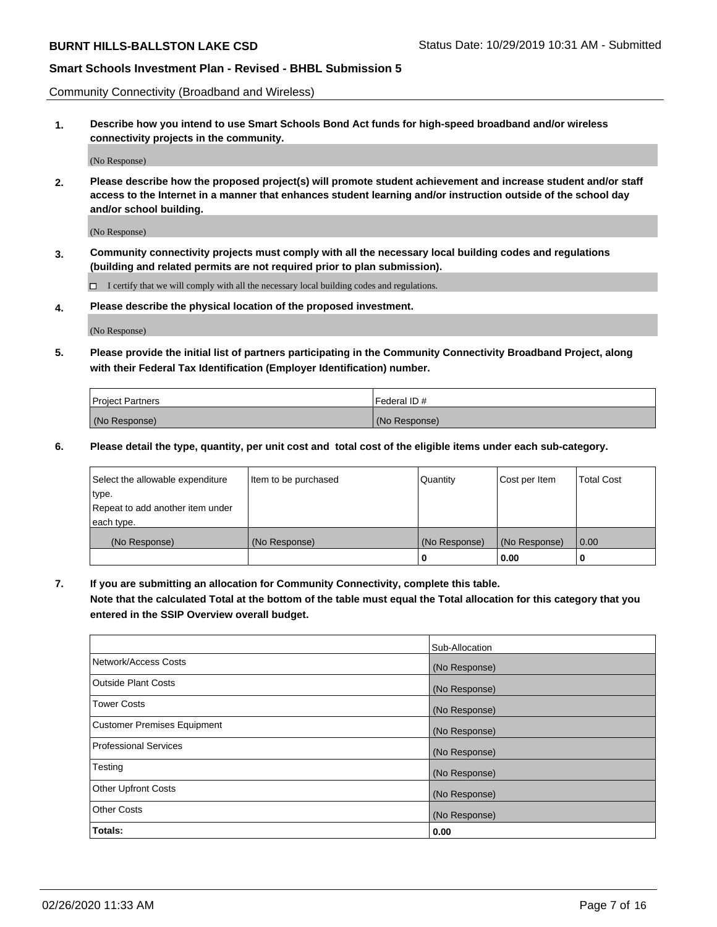Community Connectivity (Broadband and Wireless)

**1. Describe how you intend to use Smart Schools Bond Act funds for high-speed broadband and/or wireless connectivity projects in the community.**

(No Response)

**2. Please describe how the proposed project(s) will promote student achievement and increase student and/or staff access to the Internet in a manner that enhances student learning and/or instruction outside of the school day and/or school building.**

(No Response)

**3. Community connectivity projects must comply with all the necessary local building codes and regulations (building and related permits are not required prior to plan submission).**

 $\Box$  I certify that we will comply with all the necessary local building codes and regulations.

**4. Please describe the physical location of the proposed investment.**

(No Response)

**5. Please provide the initial list of partners participating in the Community Connectivity Broadband Project, along with their Federal Tax Identification (Employer Identification) number.**

| <b>Project Partners</b> | l Federal ID # |
|-------------------------|----------------|
| (No Response)           | (No Response)  |

**6. Please detail the type, quantity, per unit cost and total cost of the eligible items under each sub-category.**

| Select the allowable expenditure | Item to be purchased | Quantity      | Cost per Item | <b>Total Cost</b> |
|----------------------------------|----------------------|---------------|---------------|-------------------|
| type.                            |                      |               |               |                   |
| Repeat to add another item under |                      |               |               |                   |
| each type.                       |                      |               |               |                   |
| (No Response)                    | (No Response)        | (No Response) | (No Response) | 0.00              |
|                                  |                      | o             | 0.00          |                   |

**7. If you are submitting an allocation for Community Connectivity, complete this table.**

**Note that the calculated Total at the bottom of the table must equal the Total allocation for this category that you entered in the SSIP Overview overall budget.**

|                                    | Sub-Allocation |
|------------------------------------|----------------|
| Network/Access Costs               | (No Response)  |
| Outside Plant Costs                | (No Response)  |
| <b>Tower Costs</b>                 | (No Response)  |
| <b>Customer Premises Equipment</b> | (No Response)  |
| <b>Professional Services</b>       | (No Response)  |
| Testing                            | (No Response)  |
| <b>Other Upfront Costs</b>         | (No Response)  |
| <b>Other Costs</b>                 | (No Response)  |
| Totals:                            | 0.00           |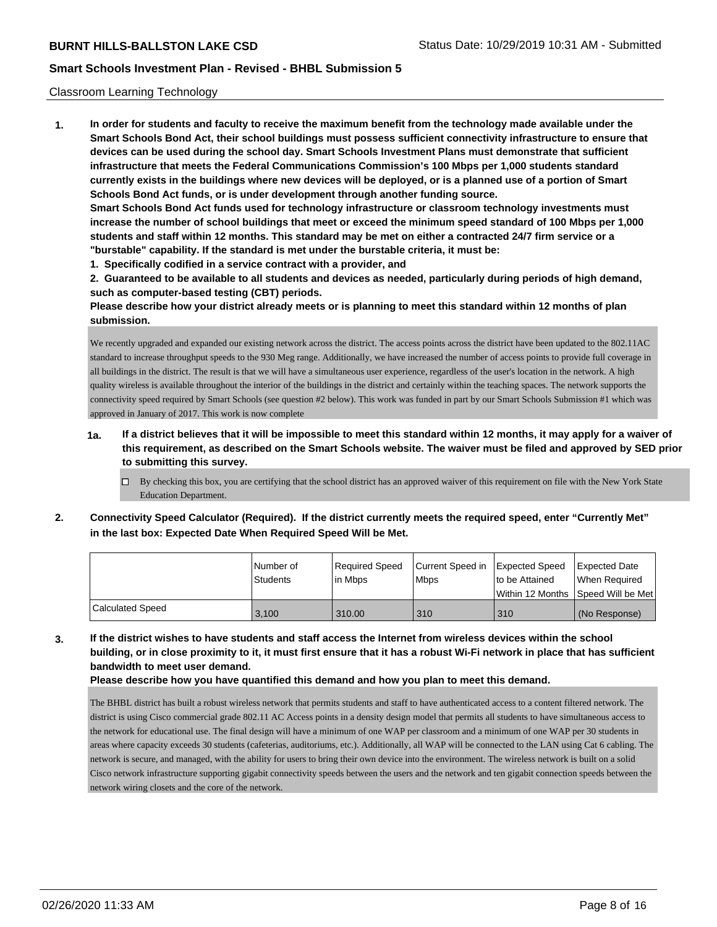## Classroom Learning Technology

**1. In order for students and faculty to receive the maximum benefit from the technology made available under the Smart Schools Bond Act, their school buildings must possess sufficient connectivity infrastructure to ensure that devices can be used during the school day. Smart Schools Investment Plans must demonstrate that sufficient infrastructure that meets the Federal Communications Commission's 100 Mbps per 1,000 students standard currently exists in the buildings where new devices will be deployed, or is a planned use of a portion of Smart Schools Bond Act funds, or is under development through another funding source. Smart Schools Bond Act funds used for technology infrastructure or classroom technology investments must increase the number of school buildings that meet or exceed the minimum speed standard of 100 Mbps per 1,000 students and staff within 12 months. This standard may be met on either a contracted 24/7 firm service or a "burstable" capability. If the standard is met under the burstable criteria, it must be:**

**1. Specifically codified in a service contract with a provider, and**

**2. Guaranteed to be available to all students and devices as needed, particularly during periods of high demand, such as computer-based testing (CBT) periods.**

**Please describe how your district already meets or is planning to meet this standard within 12 months of plan submission.**

We recently upgraded and expanded our existing network across the district. The access points across the district have been updated to the 802.11AC standard to increase throughput speeds to the 930 Meg range. Additionally, we have increased the number of access points to provide full coverage in all buildings in the district. The result is that we will have a simultaneous user experience, regardless of the user's location in the network. A high quality wireless is available throughout the interior of the buildings in the district and certainly within the teaching spaces. The network supports the connectivity speed required by Smart Schools (see question #2 below). This work was funded in part by our Smart Schools Submission #1 which was approved in January of 2017. This work is now complete

- **1a. If a district believes that it will be impossible to meet this standard within 12 months, it may apply for a waiver of this requirement, as described on the Smart Schools website. The waiver must be filed and approved by SED prior to submitting this survey.**
	- $\Box$  By checking this box, you are certifying that the school district has an approved waiver of this requirement on file with the New York State Education Department.
- **2. Connectivity Speed Calculator (Required). If the district currently meets the required speed, enter "Currently Met" in the last box: Expected Date When Required Speed Will be Met.**

|                         | l Number of<br><b>Students</b> | Required Speed<br>l in Mbps | Current Speed in<br>l Mbps | Expected Speed<br>to be Attained<br>l Within 12 Months ISpeed Will be Met | Expected Date<br>When Required |
|-------------------------|--------------------------------|-----------------------------|----------------------------|---------------------------------------------------------------------------|--------------------------------|
| <b>Calculated Speed</b> | 3.100                          | 310.00                      | 310                        | 310                                                                       | (No Response)                  |

**3. If the district wishes to have students and staff access the Internet from wireless devices within the school building, or in close proximity to it, it must first ensure that it has a robust Wi-Fi network in place that has sufficient bandwidth to meet user demand.**

**Please describe how you have quantified this demand and how you plan to meet this demand.**

The BHBL district has built a robust wireless network that permits students and staff to have authenticated access to a content filtered network. The district is using Cisco commercial grade 802.11 AC Access points in a density design model that permits all students to have simultaneous access to the network for educational use. The final design will have a minimum of one WAP per classroom and a minimum of one WAP per 30 students in areas where capacity exceeds 30 students (cafeterias, auditoriums, etc.). Additionally, all WAP will be connected to the LAN using Cat 6 cabling. The network is secure, and managed, with the ability for users to bring their own device into the environment. The wireless network is built on a solid Cisco network infrastructure supporting gigabit connectivity speeds between the users and the network and ten gigabit connection speeds between the network wiring closets and the core of the network.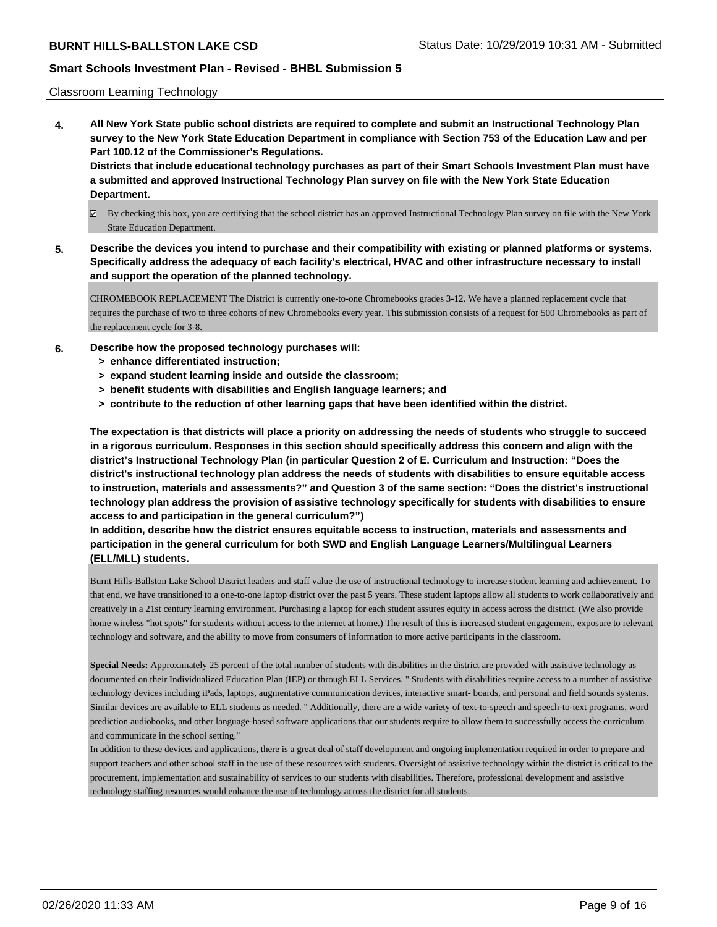## Classroom Learning Technology

**4. All New York State public school districts are required to complete and submit an Instructional Technology Plan survey to the New York State Education Department in compliance with Section 753 of the Education Law and per Part 100.12 of the Commissioner's Regulations. Districts that include educational technology purchases as part of their Smart Schools Investment Plan must have**

**a submitted and approved Instructional Technology Plan survey on file with the New York State Education Department.**

- By checking this box, you are certifying that the school district has an approved Instructional Technology Plan survey on file with the New York State Education Department.
- **5. Describe the devices you intend to purchase and their compatibility with existing or planned platforms or systems. Specifically address the adequacy of each facility's electrical, HVAC and other infrastructure necessary to install and support the operation of the planned technology.**

CHROMEBOOK REPLACEMENT The District is currently one-to-one Chromebooks grades 3-12. We have a planned replacement cycle that requires the purchase of two to three cohorts of new Chromebooks every year. This submission consists of a request for 500 Chromebooks as part of the replacement cycle for 3-8.

- **6. Describe how the proposed technology purchases will:**
	- **> enhance differentiated instruction;**
	- **> expand student learning inside and outside the classroom;**
	- **> benefit students with disabilities and English language learners; and**
	- **> contribute to the reduction of other learning gaps that have been identified within the district.**

**The expectation is that districts will place a priority on addressing the needs of students who struggle to succeed in a rigorous curriculum. Responses in this section should specifically address this concern and align with the district's Instructional Technology Plan (in particular Question 2 of E. Curriculum and Instruction: "Does the district's instructional technology plan address the needs of students with disabilities to ensure equitable access to instruction, materials and assessments?" and Question 3 of the same section: "Does the district's instructional technology plan address the provision of assistive technology specifically for students with disabilities to ensure access to and participation in the general curriculum?")**

**In addition, describe how the district ensures equitable access to instruction, materials and assessments and participation in the general curriculum for both SWD and English Language Learners/Multilingual Learners (ELL/MLL) students.**

Burnt Hills-Ballston Lake School District leaders and staff value the use of instructional technology to increase student learning and achievement. To that end, we have transitioned to a one-to-one laptop district over the past 5 years. These student laptops allow all students to work collaboratively and creatively in a 21st century learning environment. Purchasing a laptop for each student assures equity in access across the district. (We also provide home wireless "hot spots" for students without access to the internet at home.) The result of this is increased student engagement, exposure to relevant technology and software, and the ability to move from consumers of information to more active participants in the classroom.

**Special Needs:** Approximately 25 percent of the total number of students with disabilities in the district are provided with assistive technology as documented on their Individualized Education Plan (IEP) or through ELL Services. " Students with disabilities require access to a number of assistive technology devices including iPads, laptops, augmentative communication devices, interactive smart- boards, and personal and field sounds systems. Similar devices are available to ELL students as needed. " Additionally, there are a wide variety of text-to-speech and speech-to-text programs, word prediction audiobooks, and other language-based software applications that our students require to allow them to successfully access the curriculum and communicate in the school setting."

In addition to these devices and applications, there is a great deal of staff development and ongoing implementation required in order to prepare and support teachers and other school staff in the use of these resources with students. Oversight of assistive technology within the district is critical to the procurement, implementation and sustainability of services to our students with disabilities. Therefore, professional development and assistive technology staffing resources would enhance the use of technology across the district for all students.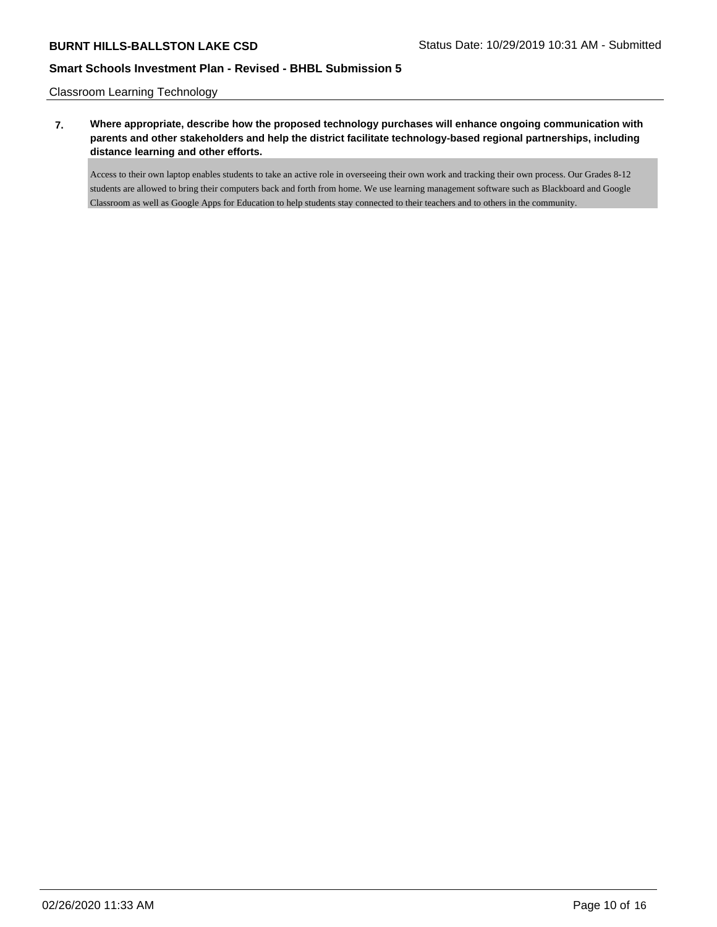Classroom Learning Technology

**7. Where appropriate, describe how the proposed technology purchases will enhance ongoing communication with parents and other stakeholders and help the district facilitate technology-based regional partnerships, including distance learning and other efforts.**

Access to their own laptop enables students to take an active role in overseeing their own work and tracking their own process. Our Grades 8-12 students are allowed to bring their computers back and forth from home. We use learning management software such as Blackboard and Google Classroom as well as Google Apps for Education to help students stay connected to their teachers and to others in the community.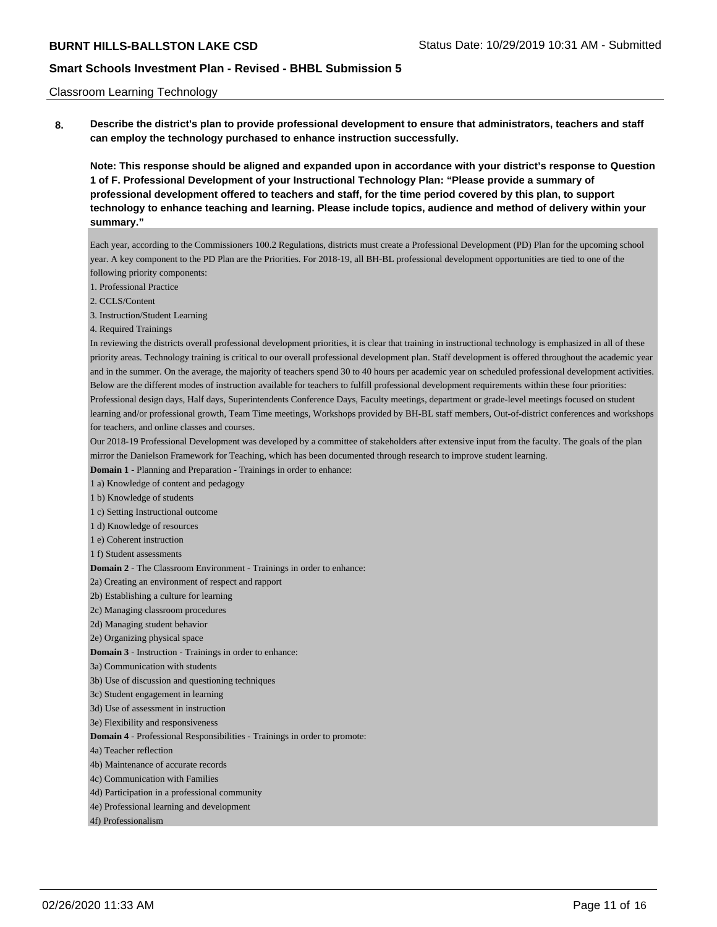### Classroom Learning Technology

**8. Describe the district's plan to provide professional development to ensure that administrators, teachers and staff can employ the technology purchased to enhance instruction successfully.**

**Note: This response should be aligned and expanded upon in accordance with your district's response to Question 1 of F. Professional Development of your Instructional Technology Plan: "Please provide a summary of professional development offered to teachers and staff, for the time period covered by this plan, to support technology to enhance teaching and learning. Please include topics, audience and method of delivery within your summary."**

Each year, according to the Commissioners 100.2 Regulations, districts must create a Professional Development (PD) Plan for the upcoming school year. A key component to the PD Plan are the Priorities. For 2018-19, all BH-BL professional development opportunities are tied to one of the following priority components:

1. Professional Practice

2. CCLS/Content

3. Instruction/Student Learning

4. Required Trainings

In reviewing the districts overall professional development priorities, it is clear that training in instructional technology is emphasized in all of these priority areas. Technology training is critical to our overall professional development plan. Staff development is offered throughout the academic year and in the summer. On the average, the majority of teachers spend 30 to 40 hours per academic year on scheduled professional development activities. Below are the different modes of instruction available for teachers to fulfill professional development requirements within these four priorities: Professional design days, Half days, Superintendents Conference Days, Faculty meetings, department or grade-level meetings focused on student learning and/or professional growth, Team Time meetings, Workshops provided by BH-BL staff members, Out-of-district conferences and workshops for teachers, and online classes and courses.

Our 2018-19 Professional Development was developed by a committee of stakeholders after extensive input from the faculty. The goals of the plan mirror the Danielson Framework for Teaching, which has been documented through research to improve student learning.

**Domain 1** - Planning and Preparation - Trainings in order to enhance:

1 a) Knowledge of content and pedagogy

1 b) Knowledge of students

1 c) Setting Instructional outcome

1 d) Knowledge of resources

1 e) Coherent instruction

1 f) Student assessments

**Domain 2** - The Classroom Environment - Trainings in order to enhance:

2a) Creating an environment of respect and rapport

2b) Establishing a culture for learning

2c) Managing classroom procedures

2d) Managing student behavior

2e) Organizing physical space

**Domain 3** - Instruction - Trainings in order to enhance:

3a) Communication with students

3b) Use of discussion and questioning techniques

3c) Student engagement in learning

3d) Use of assessment in instruction

3e) Flexibility and responsiveness

**Domain 4** - Professional Responsibilities - Trainings in order to promote:

4a) Teacher reflection

4b) Maintenance of accurate records

4c) Communication with Families

4d) Participation in a professional community

4e) Professional learning and development

4f) Professionalism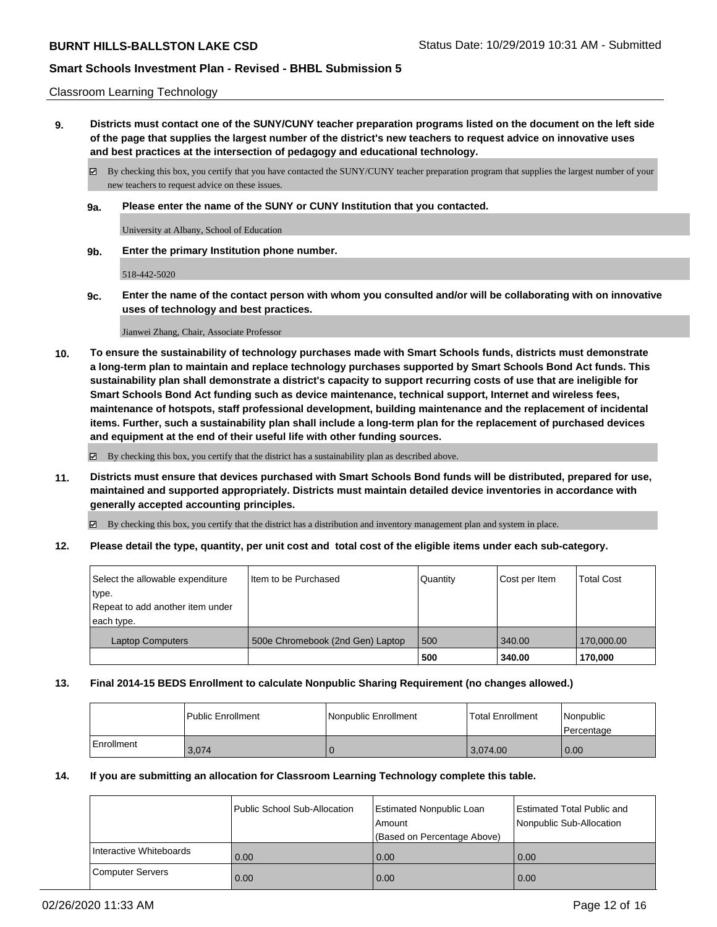### Classroom Learning Technology

**9. Districts must contact one of the SUNY/CUNY teacher preparation programs listed on the document on the left side of the page that supplies the largest number of the district's new teachers to request advice on innovative uses and best practices at the intersection of pedagogy and educational technology.**

By checking this box, you certify that you have contacted the SUNY/CUNY teacher preparation program that supplies the largest number of your new teachers to request advice on these issues.

**9a. Please enter the name of the SUNY or CUNY Institution that you contacted.**

University at Albany, School of Education

**9b. Enter the primary Institution phone number.**

518-442-5020

**9c. Enter the name of the contact person with whom you consulted and/or will be collaborating with on innovative uses of technology and best practices.**

Jianwei Zhang, Chair, Associate Professor

**10. To ensure the sustainability of technology purchases made with Smart Schools funds, districts must demonstrate a long-term plan to maintain and replace technology purchases supported by Smart Schools Bond Act funds. This sustainability plan shall demonstrate a district's capacity to support recurring costs of use that are ineligible for Smart Schools Bond Act funding such as device maintenance, technical support, Internet and wireless fees, maintenance of hotspots, staff professional development, building maintenance and the replacement of incidental items. Further, such a sustainability plan shall include a long-term plan for the replacement of purchased devices and equipment at the end of their useful life with other funding sources.**

By checking this box, you certify that the district has a sustainability plan as described above.

**11. Districts must ensure that devices purchased with Smart Schools Bond funds will be distributed, prepared for use, maintained and supported appropriately. Districts must maintain detailed device inventories in accordance with generally accepted accounting principles.**

By checking this box, you certify that the district has a distribution and inventory management plan and system in place.

**12. Please detail the type, quantity, per unit cost and total cost of the eligible items under each sub-category.**

| Select the allowable expenditure<br>type.<br>Repeat to add another item under | I Item to be Purchased           | l Quantitv | Cost per Item | <b>Total Cost</b> |
|-------------------------------------------------------------------------------|----------------------------------|------------|---------------|-------------------|
| each type.                                                                    |                                  |            |               |                   |
| <b>Laptop Computers</b>                                                       | 500e Chromebook (2nd Gen) Laptop | 500        | 340.00        | 170,000.00        |
|                                                                               |                                  | 500        | 340.00        | 170,000           |

## **13. Final 2014-15 BEDS Enrollment to calculate Nonpublic Sharing Requirement (no changes allowed.)**

|            | Public Enrollment | l Nonpublic Enrollment | <b>Total Enrollment</b> | Nonpublic<br>l Percentage |
|------------|-------------------|------------------------|-------------------------|---------------------------|
| Enrollment | 3,074             |                        | 3,074.00                | 0.00                      |

### **14. If you are submitting an allocation for Classroom Learning Technology complete this table.**

|                         | Public School Sub-Allocation | <b>Estimated Nonpublic Loan</b><br>Amount | <b>Estimated Total Public and</b><br>Nonpublic Sub-Allocation |
|-------------------------|------------------------------|-------------------------------------------|---------------------------------------------------------------|
|                         |                              | (Based on Percentage Above)               |                                                               |
| Interactive Whiteboards | 0.00                         | 0.00                                      | 0.00                                                          |
| <b>Computer Servers</b> | 0.00                         | 0.00                                      | 0.00                                                          |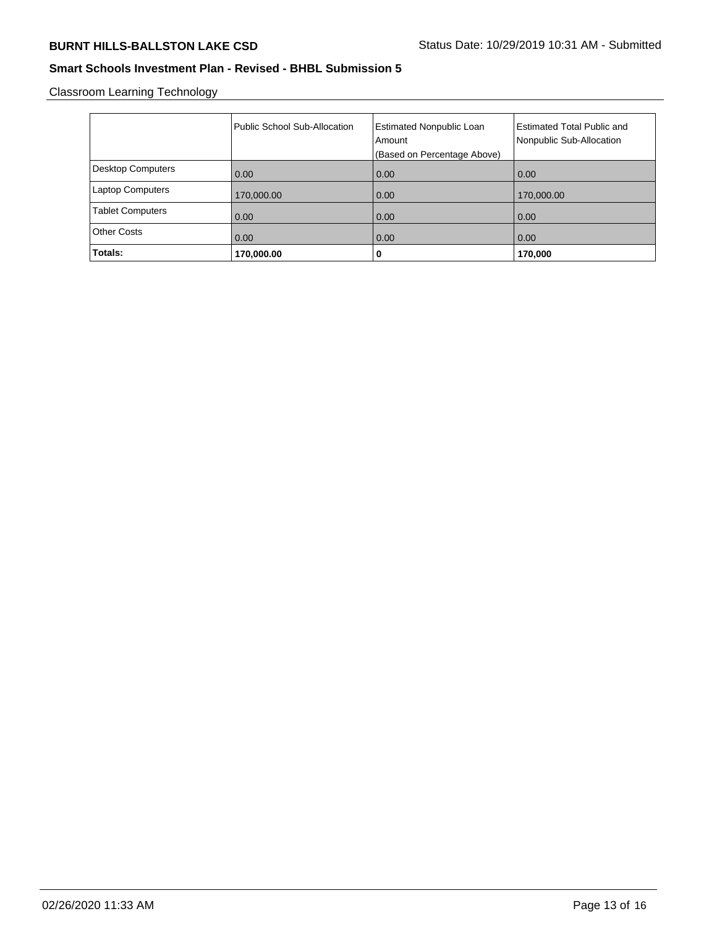Classroom Learning Technology

|                          | Public School Sub-Allocation | <b>Estimated Nonpublic Loan</b><br>Amount<br>(Based on Percentage Above) | <b>Estimated Total Public and</b><br>Nonpublic Sub-Allocation |
|--------------------------|------------------------------|--------------------------------------------------------------------------|---------------------------------------------------------------|
| <b>Desktop Computers</b> | 0.00                         | 0.00                                                                     | 0.00                                                          |
| <b>Laptop Computers</b>  | 170,000.00                   | 0.00                                                                     | 170,000.00                                                    |
| <b>Tablet Computers</b>  | 0.00                         | 0.00                                                                     | 0.00                                                          |
| <b>Other Costs</b>       | 0.00                         | 0.00                                                                     | 0.00                                                          |
| Totals:                  | 170,000.00                   | 0                                                                        | 170,000                                                       |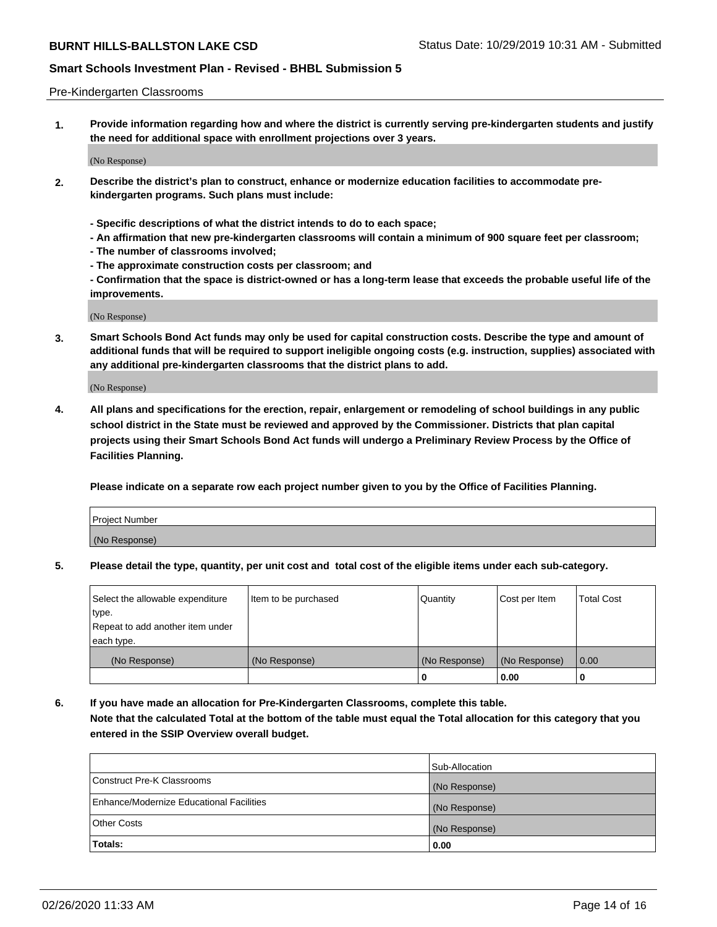### Pre-Kindergarten Classrooms

**1. Provide information regarding how and where the district is currently serving pre-kindergarten students and justify the need for additional space with enrollment projections over 3 years.**

(No Response)

- **2. Describe the district's plan to construct, enhance or modernize education facilities to accommodate prekindergarten programs. Such plans must include:**
	- **Specific descriptions of what the district intends to do to each space;**
	- **An affirmation that new pre-kindergarten classrooms will contain a minimum of 900 square feet per classroom;**
	- **The number of classrooms involved;**
	- **The approximate construction costs per classroom; and**
	- **Confirmation that the space is district-owned or has a long-term lease that exceeds the probable useful life of the improvements.**

(No Response)

**3. Smart Schools Bond Act funds may only be used for capital construction costs. Describe the type and amount of additional funds that will be required to support ineligible ongoing costs (e.g. instruction, supplies) associated with any additional pre-kindergarten classrooms that the district plans to add.**

(No Response)

**4. All plans and specifications for the erection, repair, enlargement or remodeling of school buildings in any public school district in the State must be reviewed and approved by the Commissioner. Districts that plan capital projects using their Smart Schools Bond Act funds will undergo a Preliminary Review Process by the Office of Facilities Planning.**

**Please indicate on a separate row each project number given to you by the Office of Facilities Planning.**

| Project Number |  |
|----------------|--|
| (No Response)  |  |
|                |  |

**5. Please detail the type, quantity, per unit cost and total cost of the eligible items under each sub-category.**

| Select the allowable expenditure | Item to be purchased | Quantity      | Cost per Item | <b>Total Cost</b> |
|----------------------------------|----------------------|---------------|---------------|-------------------|
| type.                            |                      |               |               |                   |
| Repeat to add another item under |                      |               |               |                   |
| each type.                       |                      |               |               |                   |
| (No Response)                    | (No Response)        | (No Response) | (No Response) | 0.00              |
|                                  |                      | U             | 0.00          |                   |

**6. If you have made an allocation for Pre-Kindergarten Classrooms, complete this table. Note that the calculated Total at the bottom of the table must equal the Total allocation for this category that you entered in the SSIP Overview overall budget.**

|                                          | Sub-Allocation |
|------------------------------------------|----------------|
| Construct Pre-K Classrooms               | (No Response)  |
| Enhance/Modernize Educational Facilities | (No Response)  |
| <b>Other Costs</b>                       | (No Response)  |
| Totals:                                  | 0.00           |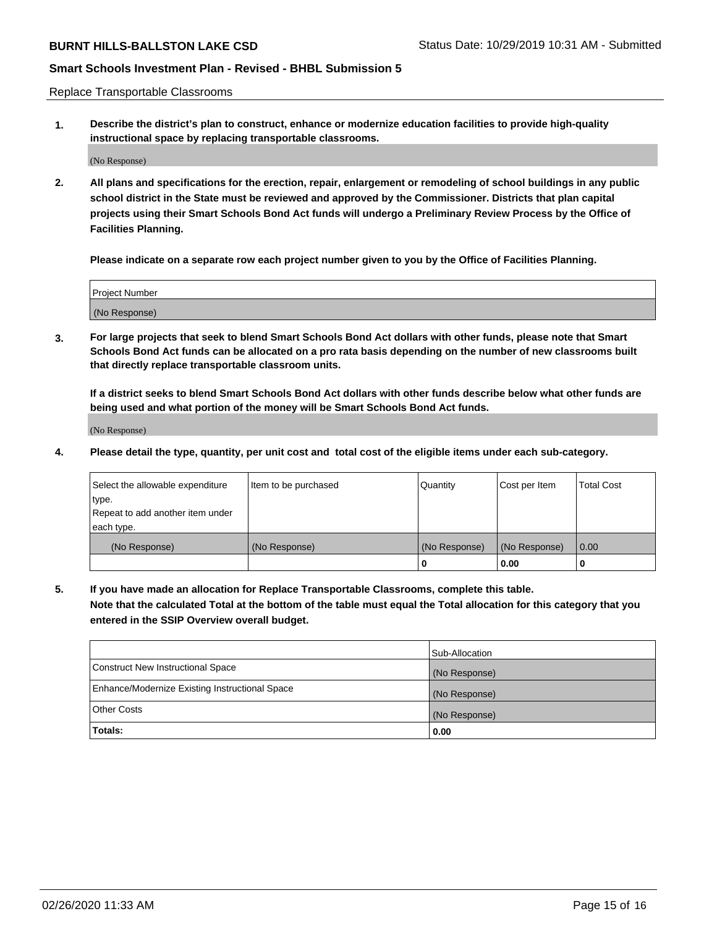Replace Transportable Classrooms

**1. Describe the district's plan to construct, enhance or modernize education facilities to provide high-quality instructional space by replacing transportable classrooms.**

(No Response)

**2. All plans and specifications for the erection, repair, enlargement or remodeling of school buildings in any public school district in the State must be reviewed and approved by the Commissioner. Districts that plan capital projects using their Smart Schools Bond Act funds will undergo a Preliminary Review Process by the Office of Facilities Planning.**

**Please indicate on a separate row each project number given to you by the Office of Facilities Planning.**

| Project Number |  |
|----------------|--|
|                |  |
| (No Response)  |  |
|                |  |

**3. For large projects that seek to blend Smart Schools Bond Act dollars with other funds, please note that Smart Schools Bond Act funds can be allocated on a pro rata basis depending on the number of new classrooms built that directly replace transportable classroom units.**

**If a district seeks to blend Smart Schools Bond Act dollars with other funds describe below what other funds are being used and what portion of the money will be Smart Schools Bond Act funds.**

(No Response)

**4. Please detail the type, quantity, per unit cost and total cost of the eligible items under each sub-category.**

| Select the allowable expenditure | Item to be purchased | Quantity      | Cost per Item | Total Cost |
|----------------------------------|----------------------|---------------|---------------|------------|
| ∣type.                           |                      |               |               |            |
| Repeat to add another item under |                      |               |               |            |
| each type.                       |                      |               |               |            |
| (No Response)                    | (No Response)        | (No Response) | (No Response) | 0.00       |
|                                  |                      | u             | 0.00          |            |

**5. If you have made an allocation for Replace Transportable Classrooms, complete this table. Note that the calculated Total at the bottom of the table must equal the Total allocation for this category that you entered in the SSIP Overview overall budget.**

|                                                | Sub-Allocation |
|------------------------------------------------|----------------|
| Construct New Instructional Space              | (No Response)  |
| Enhance/Modernize Existing Instructional Space | (No Response)  |
| Other Costs                                    | (No Response)  |
| Totals:                                        | 0.00           |